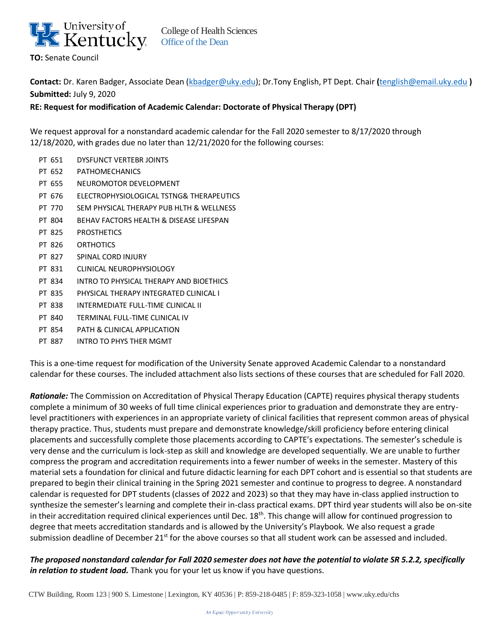

College of Health Sciences Office of the Dean

**Contact:** Dr. Karen Badger, Associate Dean [\(kbadger@uky.edu\)](mailto:kbadger@uky.edu); Dr.Tony English, PT Dept. Chair **(**[tenglish@email.uky.edu](mailto:tenglish@email.uky.edu) **) Submitted:** July 9, 2020

**RE: Request for modification of Academic Calendar: Doctorate of Physical Therapy (DPT)**

We request approval for a nonstandard academic calendar for the Fall 2020 semester to 8/17/2020 through 12/18/2020, with grades due no later than 12/21/2020 for the following courses:

- PT 651 DYSFUNCT VERTEBR JOINTS PT 652 PATHOMECHANICS PT 655 NEUROMOTOR DEVELOPMENT PT 676 ELECTROPHYSIOLOGICAL TSTNG& THERAPEUTICS PT 770 SEM PHYSICAL THERAPY PUB HLTH & WELLNESS PT 804 BEHAV FACTORS HEALTH & DISEASE LIFESPAN PT 825 PROSTHETICS PT 826 ORTHOTICS PT 827 SPINAL CORD INJURY PT 831 CLINICAL NEUROPHYSIOLOGY PT 834 INTRO TO PHYSICAL THERAPY AND BIOETHICS PT 835 PHYSICAL THERAPY INTEGRATED CLINICAL I PT 838 INTERMEDIATE FULL-TIME CLINICAL II PT 840 TERMINAL FULL-TIME CLINICAL IV
- PT 854 PATH & CLINICAL APPLICATION
- PT 887 INTRO TO PHYS THER MGMT

This is a one-time request for modification of the University Senate approved Academic Calendar to a nonstandard calendar for these courses. The included attachment also lists sections of these courses that are scheduled for Fall 2020.

*Rationale:* The Commission on Accreditation of Physical Therapy Education (CAPTE) requires physical therapy students complete a minimum of 30 weeks of full time clinical experiences prior to graduation and demonstrate they are entrylevel practitioners with experiences in an appropriate variety of clinical facilities that represent common areas of physical therapy practice. Thus, students must prepare and demonstrate knowledge/skill proficiency before entering clinical placements and successfully complete those placements according to CAPTE's expectations. The semester's schedule is very dense and the curriculum is lock-step as skill and knowledge are developed sequentially. We are unable to further compress the program and accreditation requirements into a fewer number of weeks in the semester. Mastery of this material sets a foundation for clinical and future didactic learning for each DPT cohort and is essential so that students are prepared to begin their clinical training in the Spring 2021 semester and continue to progress to degree. A nonstandard calendar is requested for DPT students (classes of 2022 and 2023) so that they may have in-class applied instruction to synthesize the semester's learning and complete their in-class practical exams. DPT third year students will also be on-site in their accreditation required clinical experiences until Dec.  $18<sup>th</sup>$ . This change will allow for continued progression to degree that meets accreditation standards and is allowed by the University's Playbook. We also request a grade submission deadline of December 21<sup>st</sup> for the above courses so that all student work can be assessed and included.

*The proposed nonstandard calendar for Fall 2020 semester does not have the potential to violate SR 5.2.2, specifically in relation to student load.* Thank you for your let us know if you have questions.

CTW Building, Room 123 | 900 S. Limestone | Lexington, KY 40536 | P: 859-218-0485 | F: 859-323-1058 | [www.uky.edu/](http://www.uky.edu/)chs